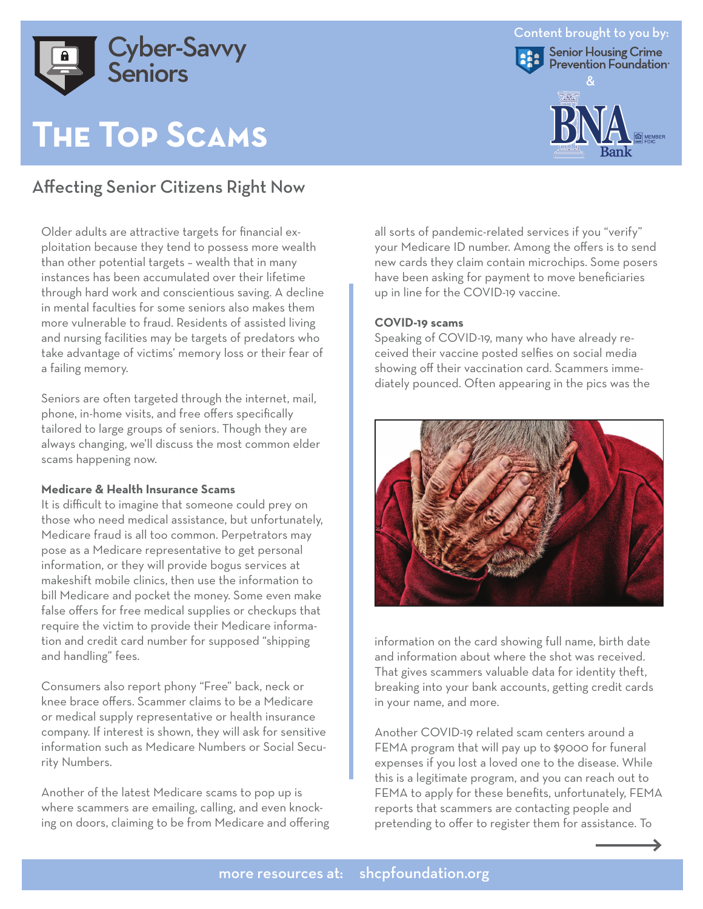

# **The Top Scams**

## Affecting Senior Citizens Right Now

Older adults are attractive targets for financial exploitation because they tend to possess more wealth than other potential targets – wealth that in many instances has been accumulated over their lifetime through hard work and conscientious saving. A decline in mental faculties for some seniors also makes them more vulnerable to fraud. Residents of assisted living and nursing facilities may be targets of predators who take advantage of victims' memory loss or their fear of a failing memory.

Seniors are often targeted through the internet, mail, phone, in-home visits, and free offers specifically tailored to large groups of seniors. Though they are always changing, we'll discuss the most common elder scams happening now.

#### **Medicare & Health Insurance Scams**

It is difficult to imagine that someone could prey on those who need medical assistance, but unfortunately, Medicare fraud is all too common. Perpetrators may pose as a Medicare representative to get personal information, or they will provide bogus services at makeshift mobile clinics, then use the information to bill Medicare and pocket the money. Some even make false offers for free medical supplies or checkups that require the victim to provide their Medicare information and credit card number for supposed "shipping and handling" fees.

Consumers also report phony "Free" back, neck or knee brace offers. Scammer claims to be a Medicare or medical supply representative or health insurance company. If interest is shown, they will ask for sensitive information such as Medicare Numbers or Social Security Numbers.

Another of the latest Medicare scams to pop up is where scammers are emailing, calling, and even knocking on doors, claiming to be from Medicare and offering all sorts of pandemic-related services if you "verify" your Medicare ID number. Among the offers is to send new cards they claim contain microchips. Some posers have been asking for payment to move beneficiaries up in line for the COVID-19 vaccine.

### **COVID-19 scams**

Speaking of COVID-19, many who have already received their vaccine posted selfies on social media showing off their vaccination card. Scammers immediately pounced. Often appearing in the pics was the



information on the card showing full name, birth date and information about where the shot was received. That gives scammers valuable data for identity theft, breaking into your bank accounts, getting credit cards in your name, and more.

Another COVID-19 related scam centers around a FEMA program that will pay up to \$9000 for funeral expenses if you lost a loved one to the disease. While this is a legitimate program, and you can reach out to FEMA to apply for these benefits, unfortunately, FEMA reports that scammers are contacting people and pretending to offer to register them for assistance. To

## Content brought to you by: